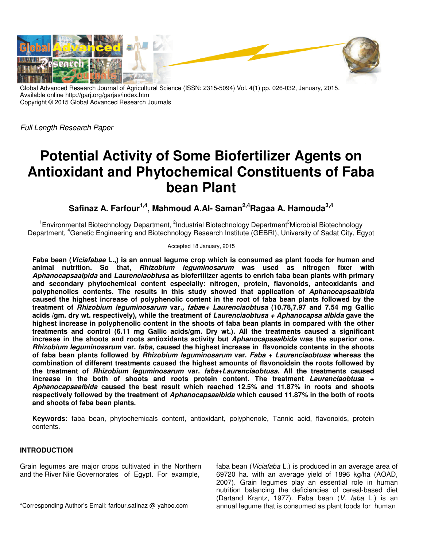

Global Advanced Research Journal of Agricultural Science (ISSN: 2315-5094) Vol. 4(1) pp. 026-032, January, 2015. Available online http://garj.org/garjas/index.htm Copyright © 2015 Global Advanced Research Journals

Full Length Research Paper

# **Potential Activity of Some Biofertilizer Agents on Antioxidant and Phytochemical Constituents of Faba bean Plant**

**Safinaz A. Farfour1,4, Mahmoud A.Al- Saman2,4Ragaa A. Hamouda3,4**

<sup>1</sup> Environmental Biotechnology Department, <sup>2</sup>Industrial Biotechnology Department<sup>3</sup>Microbial Biotechnology Department, <sup>4</sup>Genetic Engineering and Biotechnology Research Institute (GEBRI), University of Sadat City, Egypt

Accepted 18 January, 2015

**Faba bean (Viciafabae L.,) is an annual legume crop which is consumed as plant foods for human and animal nutrition. So that, Rhizobium leguminosarum was used as nitrogen fixer with Aphanocapsaalpida and Laurenciaobtusa as biofertilizer agents to enrich faba bean plants with primary and secondary phytochemical content especially: nitrogen, protein, flavonoids, anteoxidants and polyphenolics contents. The results in this study showed that application of Aphanocapsaalbida caused the highest increase of polyphenolic content in the root of faba bean plants followed by the treatment of Rhizobium leguminosarum var., fabae+ Laurenciaobtusa (10.78,7.97 and 7.54 mg Gallic acids /gm. dry wt. respectively), while the treatment of Laurenciaobtusa + Aphanocapsa albida gave the highest increase in polyphenolic content in the shoots of faba bean plants in compared with the other treatments and control (6.11 mg Gallic acids/gm. Dry wt.). All the treatments caused a significant increase in the shoots and roots antioxidants activity but Aphanocapsaalbida was the superior one. Rhizobium leguminosarum var. faba, caused the highest increase in flavonoids contents in the shoots of faba bean plants followed by Rhizobium leguminosarum var. Faba + Laurenciaobtusa whereas the combination of different treatments caused the highest amounts of flavonoidsin the roots followed by the treatment of Rhizobium leguminosarum var. faba+Laurenciaobtusa. All the treatments caused increase in the both of shoots and roots protein content. The treatment Laurenciaobtusa + Aphanocapsaalbida caused the best result which reached 12.5% and 11.87% in roots and shoots respectively followed by the treatment of Aphanocapsaalbida which caused 11.87% in the both of roots and shoots of faba bean plants.** 

**Keywords:** faba bean, phytochemicals content, antioxidant, polyphenole, Tannic acid, flavonoids, protein contents.

#### **INTRODUCTION**

Grain legumes are major crops cultivated in the Northern and the River Nile Governorates of Egypt. For example,

\*Corresponding Author's Email: farfour.safinaz @ yahoo.com

faba bean (Viciafaba L.) is produced in an average area of 69720 ha. with an average yield of 1896 kg/ha (AOAD, 2007). Grain legumes play an essential role in human nutrition balancing the deficiencies of cereal-based diet (Dartand Krantz, 1977). Faba bean (V. faba L.) is an annual legume that is consumed as plant foods for human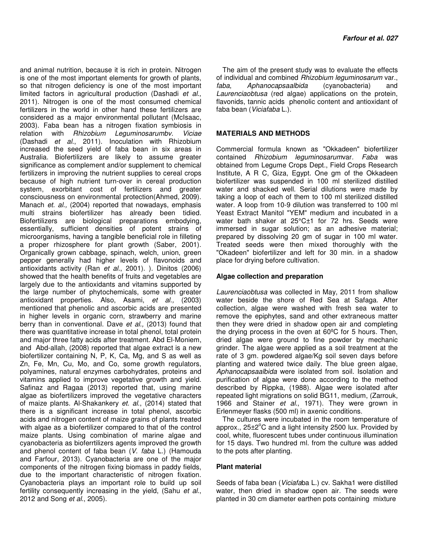and animal nutrition, because it is rich in protein. Nitrogen is one of the most important elements for growth of plants, so that nitrogen deficiency is one of the most important limited factors in agricultural production (Dashadi et al., 2011). Nitrogen is one of the most consumed chemical fertilizers in the world in other hand these fertilizers are considered as a major environmental pollutant (McIsaac, 2003). Faba bean has a nitrogen fixation symbiosis in relation with Rhizobium Leguminosarumbv. Viciae (Dashadi et al., 2011). Inoculation with Rhizobium increased the seed yield of faba bean in six areas in Australia. Biofertilizers are likely to assume greater significance as complement and/or supplement to chemical fertilizers in improving the nutrient supplies to cereal crops because of high nutrient turn-over in cereal production system, exorbitant cost of fertilizers and greater consciousness on environmental protection(Ahmed, 2009). Manach et. al., (2004) reported that nowadays, emphasis multi strains biofertilizer has already been tidied. Biofertilizers are biological preparations embodying, essentially, sufficient densities of potent strains of microorganisms, having a tangible beneficial role in filleting a proper rhizosphere for plant growth (Saber, 2001). Organically grown cabbage, spinach, welch, union, green pepper generally had higher levels of flavonoids and antioxidants activity (Ran et al., 2001). ). Dinitos (2006) showed that the health benefits of fruits and vegetables are largely due to the antioxidants and vitamins supported by the large number of phytochemicals, some with greater antioxidant properties. Also, Asami, et al., (2003) mentioned that phenolic and ascorbic acids are presented in higher levels in organic corn, strawberry and marine berry than in conventional. Dave et al., (2013) found that there was quantitative increase in total phenol, total protein and major three fatty acids after treatment. Abd El-Moniem, and Abd-allah, (2008) reported that algae extract is a new biofertilizer containing N, P, K, Ca, Mg, and S as well as Zn, Fe, Mn, Cu, Mo, and Co, some growth regulators, polyamines, natural enzymes carbohydrates, proteins and vitamins applied to improve vegetative growth and yield. Safinaz and Ragaa (2013) reported that, using marine algae as biofertilizers improved the vegetative characters of maize plants. Al-Shakankery et. al., (2014) stated that there is a significant increase in total phenol, ascorbic acids and nitrogen content of maize grains of plants treated with algae as a biofertilizer compared to that of the control maize plants. Using combination of marine algae and cyanobacteria as bioferrtilizers agents improved the growth and phenol content of faba bean (V. faba L.) (Hamouda and Farfour, 2013). Cyanobacteria are one of the major components of the nitrogen fixing biomass in paddy fields, due to the important characteristic of nitrogen fixation. Cyanobacteria plays an important role to build up soil fertility consequently increasing in the yield, (Sahu et al., 2012 and Song et al., 2005).

The aim of the present study was to evaluate the effects of individual and combined Rhizobium leguminosarum var., faba, Aphanocapsaalbida (cyanobacteria) and Laurenciaobtusa (red algae) applications on the protein, flavonids, tannic acids phenolic content and antioxidant of faba bean (Viciafaba L.).

### **MATERIALS AND METHODS**

Commercial formula known as "Okkadeen" biofertilizer contained Rhizobium leguminosarumvar. Faba was obtained from Legume Crops Dept., Field Crops Research Institute, A R C, Giza, Egypt. One gm of the Okkadeen biofertilizer was suspended in 100 ml sterilized distilled water and shacked well. Serial dilutions were made by taking a loop of each of them to 100 ml sterilized distilled water. A loop from 10-9 dilution was transferred to 100 ml Yeast Extract Manitol "YEM" medium and incubated in a water bath shaker at 25°C±1 for 72 hrs. Seeds were immersed in sugar solution; as an adhesive material; prepared by dissolving 20 gm of sugar in 100 ml water. Treated seeds were then mixed thoroughly with the "Okadeen" biofertilizer and left for 30 min. in a shadow place for drying before cultivation.

#### **Algae collection and preparation**

Laurenciaobtusa was collected in May, 2011 from shallow water beside the shore of Red Sea at Safaga. After collection, algae were washed with fresh sea water to remove the epiphytes, sand and other extraneous matter then they were dried in shadow open air and completing the drying process in the oven at 60ºC for 5 hours. Then, dried algae were ground to fine powder by mechanic grinder. The algae were applied as a soil treatment at the rate of 3 gm. powdered algae/Kg soil seven days before planting and watered twice daily. The blue green algae, Aphanocapsaalbida were isolated from soil. Isolation and purification of algae were done according to the method described by Rippka, (1988). Algae were isolated after repeated light migrations on solid BG11, medium, (Zarrouk, 1966 and Stainer et al., 1971). They were grown in Erlenmeyer flasks (500 ml) in axenic conditions.

The cultures were incubated in the room temperature of approx.,  $25\pm2^{\circ}$ C and a light intensity 2500 lux. Provided by cool, white, fluorescent tubes under continuous illumination for 15 days. Two hundred ml. from the culture was added to the pots after planting.

#### **Plant material**

Seeds of faba bean (Viciafaba L.) cv. Sakha1 were distilled water, then dried in shadow open air. The seeds were planted in 30 cm diameter earthen pots containing mixture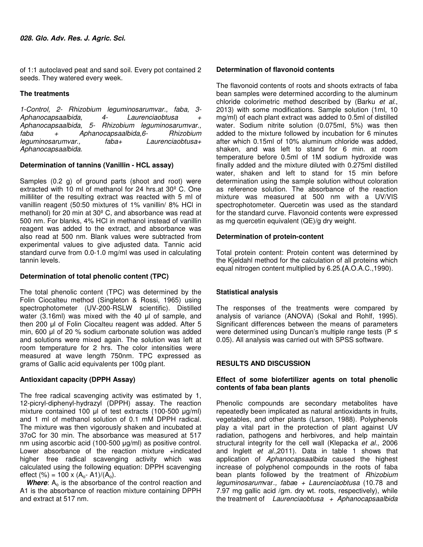of 1:1 autoclaved peat and sand soil. Every pot contained 2 seeds. They watered every week.

### **The treatments**

1-Control, 2- Rhizobium leguminosarumvar., faba, 3-<br>Aphanocapsaalbida. 4- Laurenciaobtusa + Aphanocapsaalbida, 4- Laurenciaobtusa + Aphanocapsaalbida, 5- Rhizobium leguminosarumvar., faba + Aphanocapsaalbida,6- Rhizobium leguminosarumvar., Aphanocapsaalbida.

### **Determination of tannins (Vanillin - HCL assay)**

Samples (0.2 g) of ground parts (shoot and root) were extracted with 10 ml of methanol for 24 hrs.at 30º C. One milliliter of the resulting extract was reacted with 5 ml of vanillin reagent (50:50 mixtures of 1% vanillin/ 8% HCl in methanol) for 20 min at 30º C, and absorbance was read at 500 nm. For blanks, 4% HCl in methanol instead of vanillin reagent was added to the extract, and absorbance was also read at 500 nm. Blank values were subtracted from experimental values to give adjusted data. Tannic acid standard curve from 0.0-1.0 mg/ml was used in calculating tannin levels.

#### **Determination of total phenolic content (TPC)**

The total phenolic content (TPC) was determined by the Folin Ciocalteu method (Singleton & Rossi, 1965) using spectrophotometer (UV-200-RSLW scientific). Distilled water (3.16ml) was mixed with the 40 µl of sample, and then 200 µl of Folin Ciocalteu reagent was added. After 5 min, 600 µl of 20 % sodium carbonate solution was added and solutions were mixed again. The solution was left at room temperature for 2 hrs. The color intensities were measured at wave length 750nm. TPC expressed as grams of Gallic acid equivalents per 100g plant.

#### **Antioxidant capacity (DPPH Assay)**

The free radical scavenging activity was estimated by 1, 12-picryl-diphenyl-hydrazyl (DPPH) assay. The reaction mixture contained 100 µl of test extracts (100-500 µg/ml) and 1 ml of methanol solution of 0.1 mM DPPH radical. The mixture was then vigorously shaken and incubated at 37oC for 30 min. The absorbance was measured at 517 nm using ascorbic acid (100-500 µg/ml) as positive control. Lower absorbance of the reaction mixture +indicated higher free radical scavenging activity which was calculated using the following equation: DPPH scavenging effect (%) = 100 x (A<sub>o</sub>- A1)/(A<sub>o</sub>).

**Where**: A<sub>o</sub> is the absorbance of the control reaction and A1 is the absorbance of reaction mixture containing DPPH and extract at 517 nm.

#### **Determination of flavonoid contents**

The flavonoid contents of roots and shoots extracts of faba bean samples were determined according to the aluminum chloride colorimetric method described by (Barku et al., 2013) with some modifications. Sample solution (1ml, 10 mg/ml) of each plant extract was added to 0.5ml of distilled water. Sodium nitrite solution (0.075ml, 5%) was then added to the mixture followed by incubation for 6 minutes after which 0.15ml of 10% aluminum chloride was added, shaken, and was left to stand for 6 min. at room temperature before 0.5ml of 1M sodium hydroxide was finally added and the mixture diluted with 0.275ml distilled water, shaken and left to stand for 15 min before determination using the sample solution without coloration as reference solution. The absorbance of the reaction mixture was measured at 500 nm with a UV/VIS spectrophotometer. Quercetin was used as the standard for the standard curve. Flavonoid contents were expressed as mg quercetin equivalent (QE)/g dry weight.

### **Determination of protein-content**

Total protein content: Protein content was determined by the Kjeldahl method for the calculation of all proteins which equal nitrogen content multiplied by 6.25.**(**A.O.A.C.,1990).

## **Statistical analysis**

The responses of the treatments were compared by analysis of variance (ANOVA) (Sokal and Rohlf, 1995). Significant differences between the means of parameters were determined using Duncan's multiple range tests (P ≤ 0.05). All analysis was carried out with SPSS software.

#### **RESULTS AND DISCUSSION**

#### **Effect of some biofertilizer agents on total phenolic contents of faba bean plants**

Phenolic compounds are secondary metabolites have repeatedly been implicated as natural antioxidants in fruits, vegetables, and other plants (Larson, 1988). Polyphenols play a vital part in the protection of plant against UV radiation, pathogens and herbivores, and help maintain structural integrity for the cell wall (Klepacka et al., 2006) and Inglett et al., 2011). Data in table 1 shows that application of Aphanocapsaalbida caused the highest increase of polyphenol compounds in the roots of faba bean plants followed by the treatment of Rhizobium leguminosarumvar., fabae  $+$  Laurenciaobtusa (10.78 and 7.97 mg gallic acid /gm. dry wt. roots, respectively), while the treatment of Laurenciaobtusa  $+$  Aphanocapsaalbida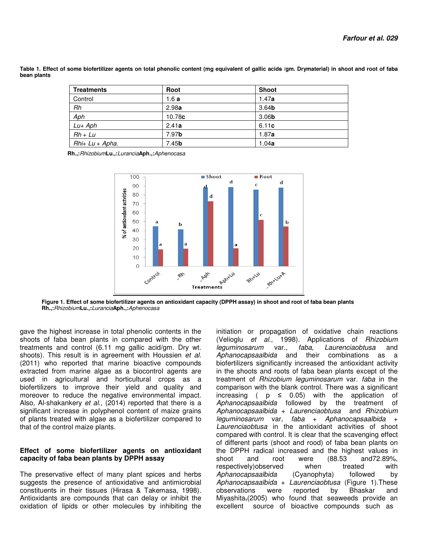**Table 1. Effect of some biofertilizer agents on total phenolic content (mg equivalent of gallic acids /gm. Drymaterial) in shoot and root of faba bean plants** 

| <b>Treatments</b> | Root              | <b>Shoot</b>      |
|-------------------|-------------------|-------------------|
| Control           | 1.6a              | 1.47a             |
| Rh                | 2.98a             | 3.64 <sub>b</sub> |
| Aph               | 10.78c            | 3.06 <sub>b</sub> |
| $Lu+Aph$          | 2.41a             | 6.11c             |
| $Rh + Lu$         | 7.97 <sub>b</sub> | 1.87a             |
| Rhi+ Lu + Apha.   | 7.45 <sub>b</sub> | 1.04a             |

 **Rh.,:**Rhizobium**Lu.,:**Lurancia**Aph.,:**Aphenocasa



**Figure 1. Effect of some biofertilizer agents on antioxidant capacity (DPPH assay) in shoot and root of faba bean plants Rh.,:**Rhizobium**Lu.,:**Lurancia**Aph.,:**Aphenocasa

gave the highest increase in total phenolic contents in the shoots of faba bean plants in compared with the other treatments and control (6.11 mg gallic acid/gm. Dry wt. shoots). This result is in agreement with Houssien et al. (2011) who reported that marine bioactive compounds extracted from marine algae as a biocontrol agents are used in agricultural and horticultural crops as a biofertilizers to improve their yield and quality and moreover to reduce the negative environmental impact. Also, Al-shakankery et al., (2014) reported that there is a significant increase in polyphenol content of maize grains of plants treated with algae as a biofertilizer compared to that of the control maize plants.

#### **Effect of some biofertilizer agents on antioxidant capacity of faba bean plants by DPPH assay**

The preservative effect of many plant spices and herbs suggests the presence of antioxidative and antimicrobial constituents in their tissues (Hirasa & Takemasa, 1998). Antioxidants are compounds that can delay or inhibit the oxidation of lipids or other molecules by inhibiting the

initiation or propagation of oxidative chain reactions (Velioglu et al., 1998). Applications of Rhizobium leguminosarum var., faba, Laurenciaobtusa and Aphanocapsaalbida and their combinations as a biofertilizers significantly increased the antioxidant activity in the shoots and roots of faba bean plants except of the treatment of Rhizobium leguminosarum var. faba in the comparison with the blank control. There was a significant increasing (  $p \le 0.05$ ) with the application of Aphanocapsaalbida followed by the treatment of Aphanocapsaalbida + Laurenciaobtusa and Rhizobium  $leguminosarum var, faba + Abhanocapsaalbida +$ Laurenciaobtusa in the antioxidant activities of shoot compared with control. It is clear that the scavenging effect of different parts (shoot and rood) of faba bean plants on the DPPH radical increased and the highest values in shoot and root were (88.53 and72.89%, respectively)observed when treated with Aphanocapsaalbida (Cyanophyta) followed by Aphanocapsaalbida + Laurenciaobtusa (Figure 1). These observations were reported by Bhaskar and Miyashita,(2005) who found that seaweeds provide an excellent source of bioactive compounds such as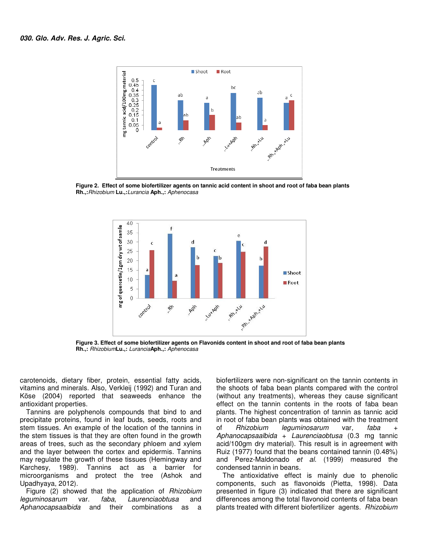

Figure 2. Effect of some biofertilizer agents on tannic acid content in shoot and root of faba bean plants **Rh.,:**Rhizobium **Lu.,:**Lurancia **Aph.,:**  Aphenocasa



Figure 3. Effect of some biofertilizer agents on Flavonids content in shoot and root of faba bean plants **Rh.,:** Rhizobium**Lu.,:** Lurancia**Aph.,:**  Aphenocasa

carotenoids, dietary fiber, protein, essential fatty acids, vitamins and minerals. Also, Verkleij (1992) and Turan and Köse (2004) reported that seaweeds enhance the antioxidant properties.

Tannins are polyphenols compounds that bind to and precipitate proteins, found in leaf buds, seeds, roots and stem tissues. An example of the location of the tannins in the stem tissues is that they are often found in the growth areas of trees, such as the secondary phloem and xylem and the layer between the cortex and epidermis. Tannins may regulate the growth of these tissues (Hemingway and Karchesy, 1989). Tannins act as a barrier for microorganisms and protect the tree (Ashok and Upadhyaya, 2012). rotenoids, dietary fiber, protein, essential fatty acids, amins and minerals. Also, Verkleij (1992) and Turan and se (2004) reported that seaweeds enhance the tioxidant properties.<br>Fannins are polyphenols compounds that bi

Figure (2) showed that the application of Rhizobium leguminosarum var. faba, Laurenciaobtusa Aphanocapsaalbida and their combinations as a and

biofertilizers were non-significant on the tannin contents in the shoots of faba bean plants compared with the control (without any treatments), whereas they cause significant (without any treatments), whereas they cause significant<br>effect on the tannin contents in the roots of faba bean plants. The highest concentration of tannin as tannic acid in root of faba bean plants was obtained with the treatment of Rhizobium leguminosarum Aphanocapsaalbida + Laurenciaobtusa (0.3 mg tannic acid/100gm dry material). This result is in agreement with Ruiz (1977) found that the beans contained tannin (0.48%) and Perez-Maldonado et al. (1999) measured the condensed tannin in beans. var, faba + al). This result is in agreement with<br>the beans contained tannin (0.48%)<br>*et al.* (1999) measured the

The antioxidative effect is mainly due to phenolic components, such as flavonoids (Pietta, 1998). Data presented in figure (3) indicated that there are significant differences among the total flavonoid contents of faba bean plants treated with different biofertilizer agents. Rhizobium effect is mainly due to phenolic<br>as flavonoids (Pietta, 1998). Data<br>3) indicated that there are significant<br>e total flavonoid contents of faba bean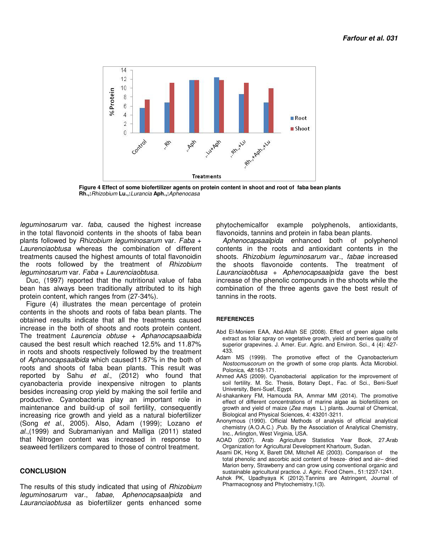

**Figure 4 Effect of some biofertilizer agents on protein content in shoot and root of faba bean plants Rh.,:**Rhizobium **Lu.,:**Lurancia **Aph.,:**Aphenocasa

leguminosarum var. faba, caused the highest increase in the total flavonoid contents in the shoots of faba bean plants followed by Rhizobium leguminosarum var. Faba + Laurenciaobtusa whereas the combination of different treatments caused the highest amounts of total flavonoidin the roots followed by the treatment of Rhizobium leguminosarum var. Faba + Laurenciaobtusa.

Duc, (1997) reported that the nutritional value of faba bean has always been traditionally attributed to its high protein content, which ranges from (27-34%).

Figure (4) illustrates the mean percentage of protein contents in the shoots and roots of faba bean plants. The obtained results indicate that all the treatments caused increase in the both of shoots and roots protein content. The treatment Laurencia obtuse  $+$  Aphanocapsaalbida caused the best result which reached 12.5% and 11.87% in roots and shoots respectively followed by the treatment of Aphanocapsaalbida which caused11.87% in the both of roots and shoots of faba bean plants. This result was reported by Sahu et al., (2012) who found that cyanobacteria provide inexpensive nitrogen to plants besides increasing crop yield by making the soil fertile and productive. Cyanobacteria play an important role in maintenance and build-up of soil fertility, consequently increasing rice growth and yield as a natural biofertilizer (Song et al., 2005). Also, Adam (1999); Lozano et al.,(1999) and Subramaniyan and Malliga (2011) stated that Nitrogen content was increased in response to seaweed fertilizers compared to those of control treatment.

#### **CONCLUSION**

The results of this study indicated that using of *Rhizobium* leguminosarum var., fabae, Aphenocapsaalpida and Lauranciaobtusa as biofertilizer gents enhanced some

phytochemicalfor example polyphenols, antioxidants, flavonoids, tannins and protein in faba bean plants.

Aphenocapsaalpida enhanced both of polyphenol contents in the roots and antioxidant contents in the shoots. Rhizobium leguminosarum var., fabae increased the shoots flavonoide contents. The treatment of Lauranciaobtusa + Aphenocapsaalpida gave the best increase of the phenolic compounds in the shoots while the combination of the three agents gave the best result of tannins in the roots.

#### **REFERENCES**

- Abd El-Moniem EAA, Abd-Allah SE (2008). Effect of green algae cells extract as foliar spray on vegetative growth, yield and berries quality of superior grapevines. J. Amer. Eur. Agric. and Environ. Sci., 4 (4): 427- 433.
- Adam MS (1999). The promotive effect of the Cyanobacterium Nostocmuscorum on the growth of some crop plants. Acta Microbiol. Polonica, 48:163-171.
- Ahmed AAS (2009). Cyanobacterial application for the improvement of soil fertility. M. Sc. Thesis, Botany Dept., Fac. of Sci., Beni-Suef University, Beni-Suef, Egypt.
- Al-shakankery FM, Hamouda RA, Ammar MM (2014). The promotive effect of different concentrations of marine algae as biofertilizers on growth and yield of maize (Zea mays L.) plants. Journal of Chemical, Biological and Physical Sciences, 4: 43201-3211.
- Anonymous (1990). Official Methods of analysis of official analytical chemistry (A.O.A.C.) ,Pub. By the Association of Analytical Chemistry, Inc., Arlington, West Virginia, USA.
- AOAD (2007). Arab Agriculture Statistics Year Book, 27.Arab Organization for Agricultural Development Khartoum, Sudan.
- Asami DK, Hong X, Barett DM, Mitchell AE (2003). Comparison of the total phenolic and ascorbic acid content of freeze- dried and air– dried Marion berry, Strawberry and can grow using conventional organic and sustainable agricultural practice. J. Agric. Food Chem., 51:1237-1241.
- Ashok PK, Upadhyaya K (2012).Tannins are Astringent, Journal of Pharmacognosy and Phytochemistry,1(3).